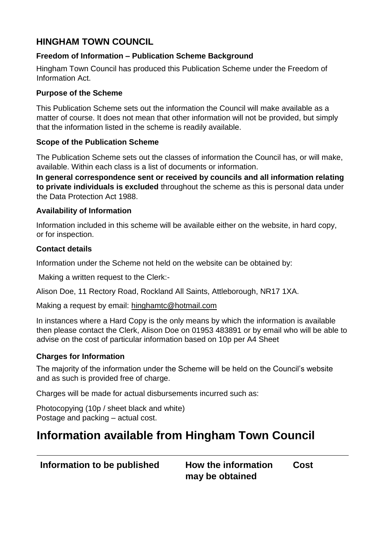# **HINGHAM TOWN COUNCIL**

## **Freedom of Information – Publication Scheme Background**

Hingham Town Council has produced this Publication Scheme under the Freedom of Information Act.

### **Purpose of the Scheme**

This Publication Scheme sets out the information the Council will make available as a matter of course. It does not mean that other information will not be provided, but simply that the information listed in the scheme is readily available.

#### **Scope of the Publication Scheme**

The Publication Scheme sets out the classes of information the Council has, or will make, available. Within each class is a list of documents or information.

**In general correspondence sent or received by councils and all information relating to private individuals is excluded** throughout the scheme as this is personal data under the Data Protection Act 1988.

## **Availability of Information**

Information included in this scheme will be available either on the website, in hard copy, or for inspection.

#### **Contact details**

Information under the Scheme not held on the website can be obtained by:

Making a written request to the Clerk:-

Alison Doe, 11 Rectory Road, Rockland All Saints, Attleborough, NR17 1XA.

Making a request by email: hinghamtc@hotmail.com

In instances where a Hard Copy is the only means by which the information is available then please contact the Clerk, Alison Doe on 01953 483891 or by email who will be able to advise on the cost of particular information based on 10p per A4 Sheet

## **Charges for Information**

The majority of the information under the Scheme will be held on the Council's website and as such is provided free of charge.

Charges will be made for actual disbursements incurred such as:

Photocopying (10p / sheet black and white) Postage and packing – actual cost.

# **Information available from Hingham Town Council**

**Information to be published How the information Cost may be obtained**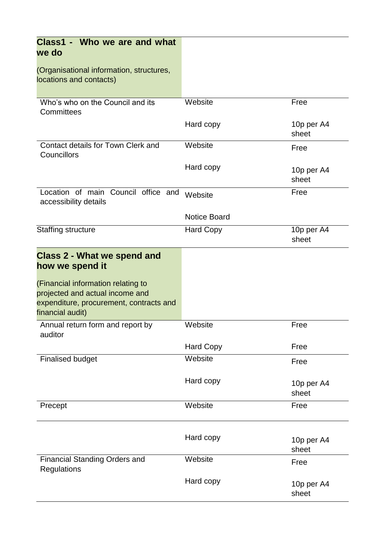| Class1 - Who we are and what<br>we do                                                                                                |                     |                     |
|--------------------------------------------------------------------------------------------------------------------------------------|---------------------|---------------------|
| (Organisational information, structures,<br>locations and contacts)                                                                  |                     |                     |
| Who's who on the Council and its<br>Committees                                                                                       | Website             | Free                |
|                                                                                                                                      | Hard copy           | 10p per A4<br>sheet |
| Contact details for Town Clerk and<br>Councillors                                                                                    | Website             | Free                |
|                                                                                                                                      | Hard copy           | 10p per A4<br>sheet |
| Location of main Council office and<br>accessibility details                                                                         | Website             | Free                |
|                                                                                                                                      | <b>Notice Board</b> |                     |
| <b>Staffing structure</b>                                                                                                            | <b>Hard Copy</b>    | 10p per A4<br>sheet |
| <b>Class 2 - What we spend and</b><br>how we spend it                                                                                |                     |                     |
| (Financial information relating to<br>projected and actual income and<br>expenditure, procurement, contracts and<br>financial audit) |                     |                     |
| Annual return form and report by<br>auditor                                                                                          | Website             | Free                |
|                                                                                                                                      | <b>Hard Copy</b>    | Free                |
| <b>Finalised budget</b>                                                                                                              | Website             | Free                |
|                                                                                                                                      | Hard copy           | 10p per A4<br>sheet |
| Precept                                                                                                                              | Website             | Free                |
|                                                                                                                                      | Hard copy           | 10p per A4<br>sheet |
| <b>Financial Standing Orders and</b><br><b>Regulations</b>                                                                           | Website             | Free                |
|                                                                                                                                      | Hard copy           | 10p per A4<br>sheet |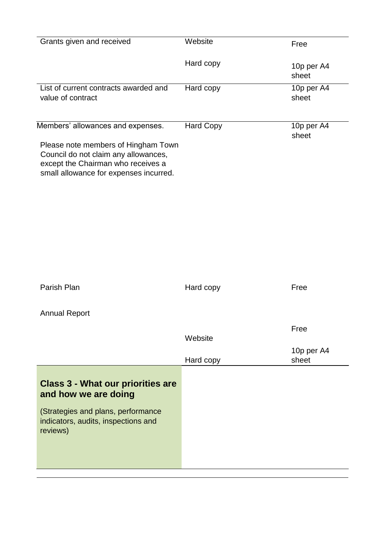| Grants given and received                                                                                                                                   | Website          | Free                |
|-------------------------------------------------------------------------------------------------------------------------------------------------------------|------------------|---------------------|
|                                                                                                                                                             | Hard copy        | 10p per A4<br>sheet |
| List of current contracts awarded and<br>value of contract                                                                                                  | Hard copy        | 10p per A4<br>sheet |
|                                                                                                                                                             |                  |                     |
| Members' allowances and expenses.                                                                                                                           | <b>Hard Copy</b> | 10p per A4<br>sheet |
| Please note members of Hingham Town<br>Council do not claim any allowances,<br>except the Chairman who receives a<br>small allowance for expenses incurred. |                  |                     |
|                                                                                                                                                             |                  |                     |
|                                                                                                                                                             |                  |                     |
|                                                                                                                                                             |                  |                     |
|                                                                                                                                                             |                  |                     |
| Parish Plan                                                                                                                                                 | Hard copy        | Free                |
| <b>Annual Report</b>                                                                                                                                        |                  |                     |
|                                                                                                                                                             | Website          | Free                |
|                                                                                                                                                             |                  | 10p per A4          |
|                                                                                                                                                             | Hard copy        | sheet               |
| <b>Class 3 - What our priorities are</b><br>and how we are doing                                                                                            |                  |                     |
| (Strategies and plans, performance<br>indicators, audits, inspections and<br>reviews)                                                                       |                  |                     |
|                                                                                                                                                             |                  |                     |
|                                                                                                                                                             |                  |                     |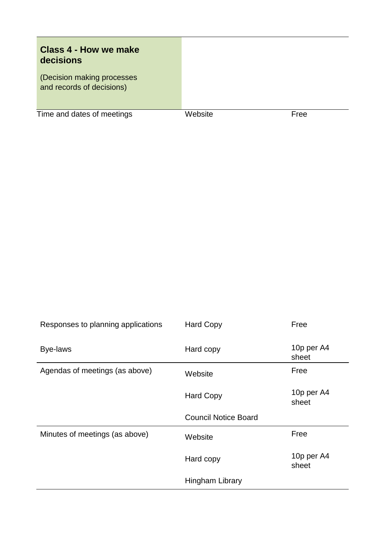# **Class 4 - How we make decisions**

(Decision making processes and records of decisions) and

Time and dates of meetings Website Free

| Responses to planning applications | <b>Hard Copy</b>            | Free                |
|------------------------------------|-----------------------------|---------------------|
| Bye-laws                           | Hard copy                   | 10p per A4<br>sheet |
| Agendas of meetings (as above)     | Website                     | Free                |
|                                    | <b>Hard Copy</b>            | 10p per A4<br>sheet |
|                                    | <b>Council Notice Board</b> |                     |
|                                    |                             |                     |
| Minutes of meetings (as above)     | Website                     | Free                |
|                                    | Hard copy                   | 10p per A4<br>sheet |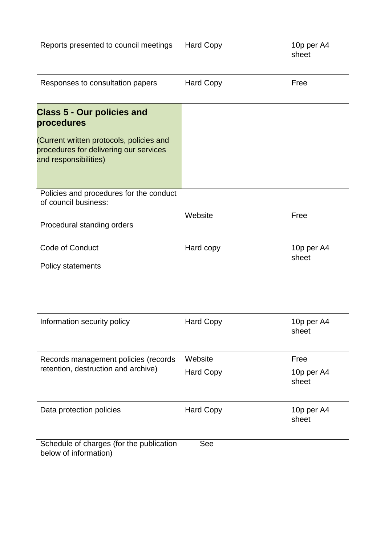| Reports presented to council meetings                                                                       | <b>Hard Copy</b> | 10p per A4<br>sheet |
|-------------------------------------------------------------------------------------------------------------|------------------|---------------------|
| Responses to consultation papers                                                                            | <b>Hard Copy</b> | Free                |
| <b>Class 5 - Our policies and</b><br>procedures                                                             |                  |                     |
| (Current written protocols, policies and<br>procedures for delivering our services<br>and responsibilities) |                  |                     |
| Policies and procedures for the conduct<br>of council business:                                             |                  |                     |
| Procedural standing orders                                                                                  | Website          | Free                |
| Code of Conduct                                                                                             | Hard copy        | 10p per A4<br>sheet |
| <b>Policy statements</b>                                                                                    |                  |                     |
|                                                                                                             |                  |                     |
| Information security policy                                                                                 | <b>Hard Copy</b> | 10p per A4<br>sheet |
| Records management policies (records                                                                        | Website          | Free                |
| retention, destruction and archive)                                                                         | <b>Hard Copy</b> | 10p per A4<br>sheet |
| Data protection policies                                                                                    | <b>Hard Copy</b> | 10p per A4<br>sheet |
| Schedule of charges (for the publication<br>below of information)                                           | See              |                     |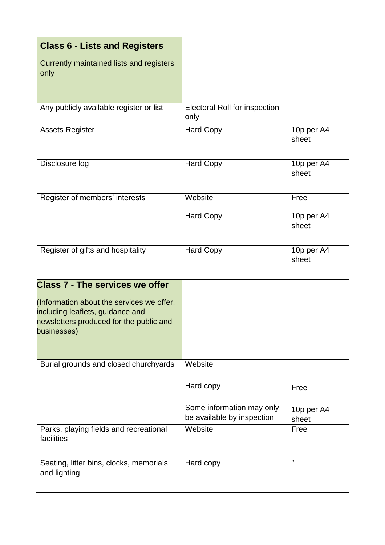| <b>Class 6 - Lists and Registers</b>             |                                              |                     |
|--------------------------------------------------|----------------------------------------------|---------------------|
| Currently maintained lists and registers<br>only |                                              |                     |
| Any publicly available register or list          | <b>Electoral Roll for inspection</b><br>only |                     |
| <b>Assets Register</b>                           | <b>Hard Copy</b>                             | 10p per A4<br>sheet |
| Disclosure log                                   | <b>Hard Copy</b>                             | 10p per A4<br>sheet |
| Register of members' interests                   | Website                                      | Free                |
|                                                  | <b>Hard Copy</b>                             | 10p per A4<br>sheet |
| Register of gifts and hospitality                | <b>Hard Copy</b>                             | 10p per A4<br>sheet |

| <b>Class 7 - The services we offer</b><br>(Information about the services we offer,<br>including leaflets, guidance and<br>newsletters produced for the public and<br>businesses) |                                                         |                     |
|-----------------------------------------------------------------------------------------------------------------------------------------------------------------------------------|---------------------------------------------------------|---------------------|
| Burial grounds and closed churchyards                                                                                                                                             | Website                                                 |                     |
|                                                                                                                                                                                   | Hard copy                                               | Free                |
|                                                                                                                                                                                   | Some information may only<br>be available by inspection | 10p per A4<br>sheet |
| Parks, playing fields and recreational<br>facilities                                                                                                                              | Website                                                 | Free                |
| Seating, litter bins, clocks, memorials<br>and lighting                                                                                                                           | Hard copy                                               | 11                  |